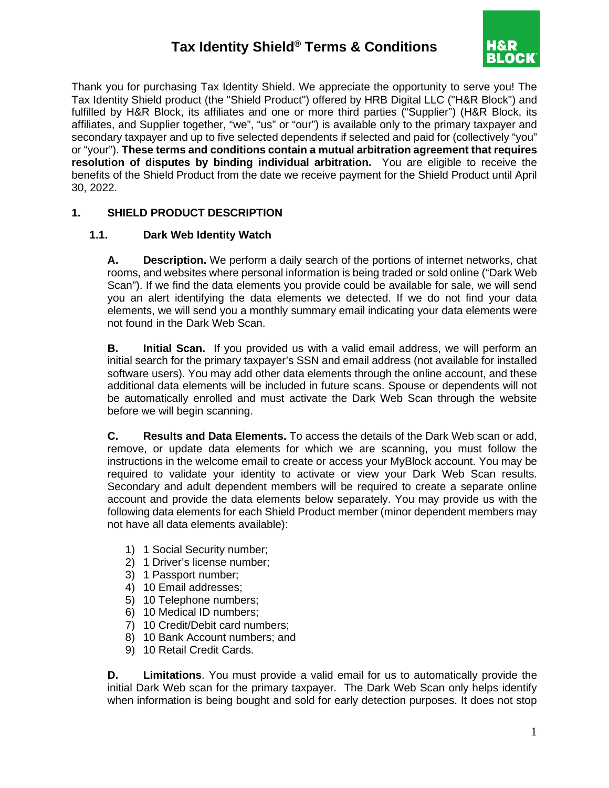# **Tax Identity Shield® Terms & Conditions**



Thank you for purchasing Tax Identity Shield. We appreciate the opportunity to serve you! The Tax Identity Shield product (the "Shield Product") offered by HRB Digital LLC ("H&R Block") and fulfilled by H&R Block, its affiliates and one or more third parties ("Supplier") (H&R Block, its affiliates, and Supplier together, "we", "us" or "our") is available only to the primary taxpayer and secondary taxpayer and up to five selected dependents if selected and paid for (collectively "you" or "your"). **These terms and conditions contain a mutual arbitration agreement that requires resolution of disputes by binding individual arbitration.** You are eligible to receive the benefits of the Shield Product from the date we receive payment for the Shield Product until April 30, 2022.

#### **1. SHIELD PRODUCT DESCRIPTION**

#### **1.1. Dark Web Identity Watch**

**A. Description.** We perform a daily search of the portions of internet networks, chat rooms, and websites where personal information is being traded or sold online ("Dark Web Scan"). If we find the data elements you provide could be available for sale, we will send you an alert identifying the data elements we detected. If we do not find your data elements, we will send you a monthly summary email indicating your data elements were not found in the Dark Web Scan.

**B. Initial Scan.** If you provided us with a valid email address, we will perform an initial search for the primary taxpayer's SSN and email address (not available for installed software users). You may add other data elements through the online account, and these additional data elements will be included in future scans. Spouse or dependents will not be automatically enrolled and must activate the Dark Web Scan through the website before we will begin scanning.

**C. Results and Data Elements.** To access the details of the Dark Web scan or add, remove, or update data elements for which we are scanning, you must follow the instructions in the welcome email to create or access your MyBlock account. You may be required to validate your identity to activate or view your Dark Web Scan results. Secondary and adult dependent members will be required to create a separate online account and provide the data elements below separately. You may provide us with the following data elements for each Shield Product member (minor dependent members may not have all data elements available):

- 1) 1 Social Security number;
- 2) 1 Driver's license number;
- 3) 1 Passport number;
- 4) 10 Email addresses;
- 5) 10 Telephone numbers;
- 6) 10 Medical ID numbers;
- 7) 10 Credit/Debit card numbers;
- 8) 10 Bank Account numbers; and
- 9) 10 Retail Credit Cards.

**D. Limitations**. You must provide a valid email for us to automatically provide the initial Dark Web scan for the primary taxpayer. The Dark Web Scan only helps identify when information is being bought and sold for early detection purposes. It does not stop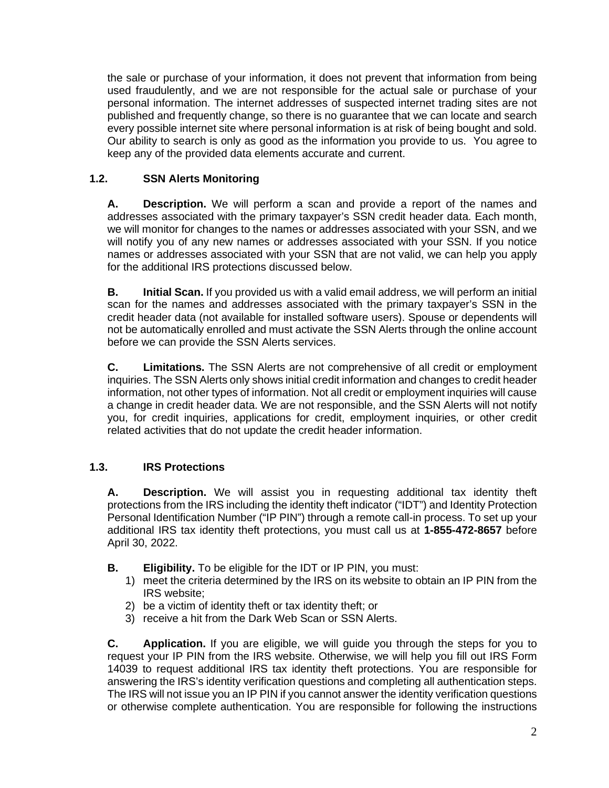the sale or purchase of your information, it does not prevent that information from being used fraudulently, and we are not responsible for the actual sale or purchase of your personal information. The internet addresses of suspected internet trading sites are not published and frequently change, so there is no guarantee that we can locate and search every possible internet site where personal information is at risk of being bought and sold. Our ability to search is only as good as the information you provide to us. You agree to keep any of the provided data elements accurate and current.

## **1.2. SSN Alerts Monitoring**

**A. Description.** We will perform a scan and provide a report of the names and addresses associated with the primary taxpayer's SSN credit header data. Each month, we will monitor for changes to the names or addresses associated with your SSN, and we will notify you of any new names or addresses associated with your SSN. If you notice names or addresses associated with your SSN that are not valid, we can help you apply for the additional IRS protections discussed below.

**B. Initial Scan.** If you provided us with a valid email address, we will perform an initial scan for the names and addresses associated with the primary taxpayer's SSN in the credit header data (not available for installed software users). Spouse or dependents will not be automatically enrolled and must activate the SSN Alerts through the online account before we can provide the SSN Alerts services.

**C. Limitations.** The SSN Alerts are not comprehensive of all credit or employment inquiries. The SSN Alerts only shows initial credit information and changes to credit header information, not other types of information. Not all credit or employment inquiries will cause a change in credit header data. We are not responsible, and the SSN Alerts will not notify you, for credit inquiries, applications for credit, employment inquiries, or other credit related activities that do not update the credit header information.

## **1.3. IRS Protections**

**A. Description.** We will assist you in requesting additional tax identity theft protections from the IRS including the identity theft indicator ("IDT") and Identity Protection Personal Identification Number ("IP PIN") through a remote call-in process. To set up your additional IRS tax identity theft protections, you must call us at **1-855-472-8657** before April 30, 2022.

- **B. Eligibility.** To be eligible for the IDT or IP PIN, you must:
	- 1) meet the criteria determined by the IRS on its website to obtain an IP PIN from the IRS website;
	- 2) be a victim of identity theft or tax identity theft; or
	- 3) receive a hit from the Dark Web Scan or SSN Alerts.

**C. Application.** If you are eligible, we will guide you through the steps for you to request your IP PIN from the IRS website. Otherwise, we will help you fill out IRS Form 14039 to request additional IRS tax identity theft protections. You are responsible for answering the IRS's identity verification questions and completing all authentication steps. The IRS will not issue you an IP PIN if you cannot answer the identity verification questions or otherwise complete authentication. You are responsible for following the instructions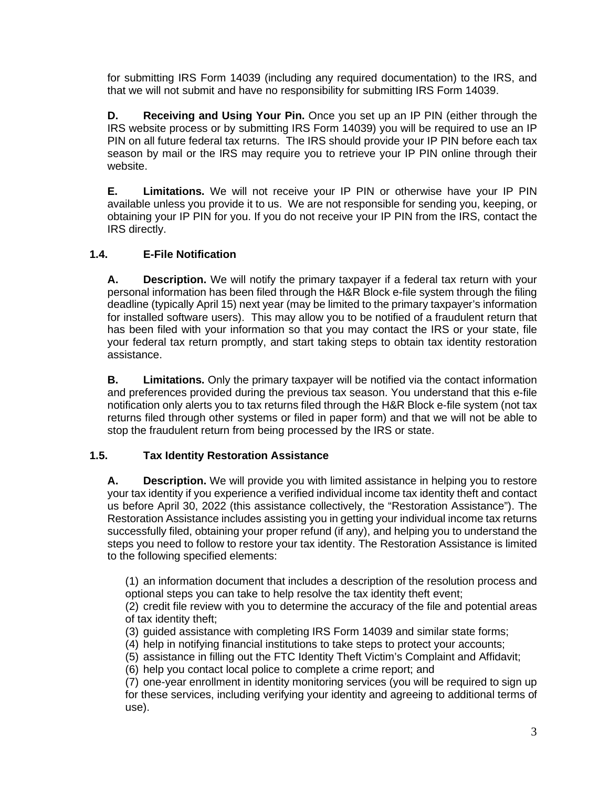for submitting IRS Form 14039 (including any required documentation) to the IRS, and that we will not submit and have no responsibility for submitting IRS Form 14039.

**D. Receiving and Using Your Pin.** Once you set up an IP PIN (either through the IRS website process or by submitting IRS Form 14039) you will be required to use an IP PIN on all future federal tax returns. The IRS should provide your IP PIN before each tax season by mail or the IRS may require you to retrieve your IP PIN online through their website.

**E. Limitations.** We will not receive your IP PIN or otherwise have your IP PIN available unless you provide it to us. We are not responsible for sending you, keeping, or obtaining your IP PIN for you. If you do not receive your IP PIN from the IRS, contact the IRS directly.

## **1.4. E-File Notification**

**A. Description.** We will notify the primary taxpayer if a federal tax return with your personal information has been filed through the H&R Block e-file system through the filing deadline (typically April 15) next year (may be limited to the primary taxpayer's information for installed software users). This may allow you to be notified of a fraudulent return that has been filed with your information so that you may contact the IRS or your state, file your federal tax return promptly, and start taking steps to obtain tax identity restoration assistance.

**B. Limitations.** Only the primary taxpayer will be notified via the contact information and preferences provided during the previous tax season. You understand that this e-file notification only alerts you to tax returns filed through the H&R Block e-file system (not tax returns filed through other systems or filed in paper form) and that we will not be able to stop the fraudulent return from being processed by the IRS or state.

#### **1.5. Tax Identity Restoration Assistance**

**A. Description.** We will provide you with limited assistance in helping you to restore your tax identity if you experience a verified individual income tax identity theft and contact us before April 30, 2022 (this assistance collectively, the "Restoration Assistance"). The Restoration Assistance includes assisting you in getting your individual income tax returns successfully filed, obtaining your proper refund (if any), and helping you to understand the steps you need to follow to restore your tax identity. The Restoration Assistance is limited to the following specified elements:

(1) an information document that includes a description of the resolution process and optional steps you can take to help resolve the tax identity theft event;

(2) credit file review with you to determine the accuracy of the file and potential areas of tax identity theft;

- (3) guided assistance with completing IRS Form 14039 and similar state forms;
- (4) help in notifying financial institutions to take steps to protect your accounts;
- (5) assistance in filling out the FTC Identity Theft Victim's Complaint and Affidavit;
- (6) help you contact local police to complete a crime report; and

(7) one-year enrollment in identity monitoring services (you will be required to sign up for these services, including verifying your identity and agreeing to additional terms of use).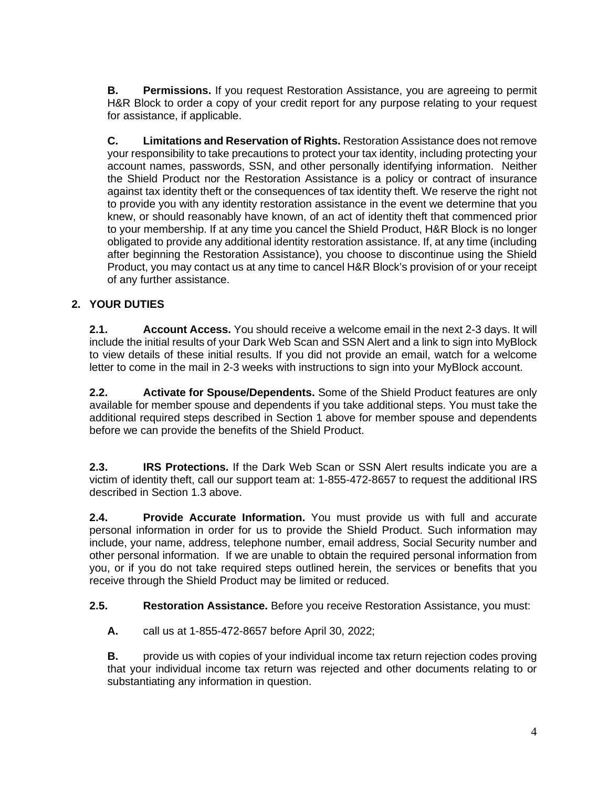**B. Permissions.** If you request Restoration Assistance, you are agreeing to permit H&R Block to order a copy of your credit report for any purpose relating to your request for assistance, if applicable.

**C. Limitations and Reservation of Rights.** Restoration Assistance does not remove your responsibility to take precautions to protect your tax identity, including protecting your account names, passwords, SSN, and other personally identifying information. Neither the Shield Product nor the Restoration Assistance is a policy or contract of insurance against tax identity theft or the consequences of tax identity theft. We reserve the right not to provide you with any identity restoration assistance in the event we determine that you knew, or should reasonably have known, of an act of identity theft that commenced prior to your membership. If at any time you cancel the Shield Product, H&R Block is no longer obligated to provide any additional identity restoration assistance. If, at any time (including after beginning the Restoration Assistance), you choose to discontinue using the Shield Product, you may contact us at any time to cancel H&R Block's provision of or your receipt of any further assistance.

## **2. YOUR DUTIES**

**2.1. Account Access.** You should receive a welcome email in the next 2-3 days. It will include the initial results of your Dark Web Scan and SSN Alert and a link to sign into MyBlock to view details of these initial results. If you did not provide an email, watch for a welcome letter to come in the mail in 2-3 weeks with instructions to sign into your MyBlock account.

**2.2. Activate for Spouse/Dependents.** Some of the Shield Product features are only available for member spouse and dependents if you take additional steps. You must take the additional required steps described in Section 1 above for member spouse and dependents before we can provide the benefits of the Shield Product.

**2.3. IRS Protections.** If the Dark Web Scan or SSN Alert results indicate you are a victim of identity theft, call our support team at: 1-855-472-8657 to request the additional IRS described in Section 1.3 above.

**2.4. Provide Accurate Information.** You must provide us with full and accurate personal information in order for us to provide the Shield Product. Such information may include, your name, address, telephone number, email address, Social Security number and other personal information. If we are unable to obtain the required personal information from you, or if you do not take required steps outlined herein, the services or benefits that you receive through the Shield Product may be limited or reduced.

**2.5. Restoration Assistance.** Before you receive Restoration Assistance, you must:

**A.** call us at 1-855-472-8657 before April 30, 2022;

**B.** provide us with copies of your individual income tax return rejection codes proving that your individual income tax return was rejected and other documents relating to or substantiating any information in question.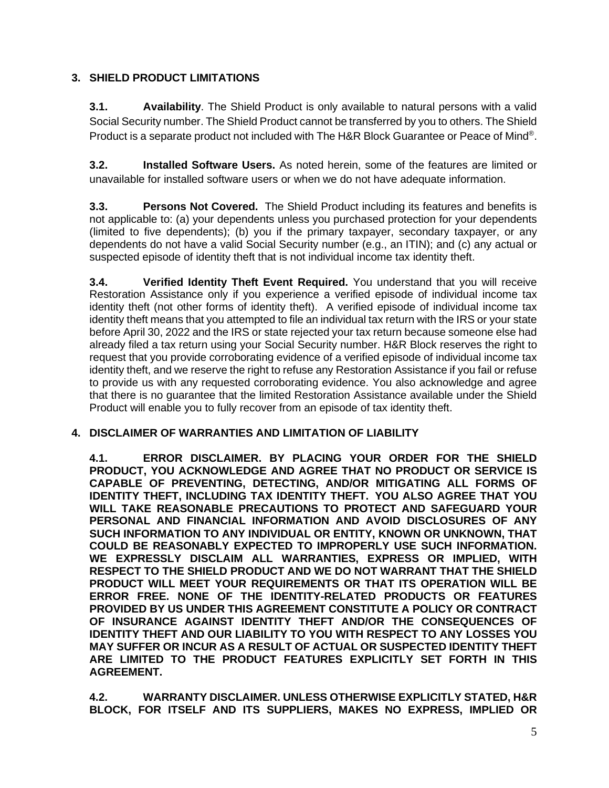## **3. SHIELD PRODUCT LIMITATIONS**

**3.1. Availability**. The Shield Product is only available to natural persons with a valid Social Security number. The Shield Product cannot be transferred by you to others. The Shield Product is a separate product not included with The H&R Block Guarantee or Peace of Mind®.

**3.2. Installed Software Users.** As noted herein, some of the features are limited or unavailable for installed software users or when we do not have adequate information.

**3.3. Persons Not Covered.** The Shield Product including its features and benefits is not applicable to: (a) your dependents unless you purchased protection for your dependents (limited to five dependents); (b) you if the primary taxpayer, secondary taxpayer, or any dependents do not have a valid Social Security number (e.g., an ITIN); and (c) any actual or suspected episode of identity theft that is not individual income tax identity theft.

**3.4. Verified Identity Theft Event Required.** You understand that you will receive Restoration Assistance only if you experience a verified episode of individual income tax identity theft (not other forms of identity theft). A verified episode of individual income tax identity theft means that you attempted to file an individual tax return with the IRS or your state before April 30, 2022 and the IRS or state rejected your tax return because someone else had already filed a tax return using your Social Security number. H&R Block reserves the right to request that you provide corroborating evidence of a verified episode of individual income tax identity theft, and we reserve the right to refuse any Restoration Assistance if you fail or refuse to provide us with any requested corroborating evidence. You also acknowledge and agree that there is no guarantee that the limited Restoration Assistance available under the Shield Product will enable you to fully recover from an episode of tax identity theft.

#### **4. DISCLAIMER OF WARRANTIES AND LIMITATION OF LIABILITY**

**4.1. ERROR DISCLAIMER. BY PLACING YOUR ORDER FOR THE SHIELD PRODUCT, YOU ACKNOWLEDGE AND AGREE THAT NO PRODUCT OR SERVICE IS CAPABLE OF PREVENTING, DETECTING, AND/OR MITIGATING ALL FORMS OF IDENTITY THEFT, INCLUDING TAX IDENTITY THEFT. YOU ALSO AGREE THAT YOU WILL TAKE REASONABLE PRECAUTIONS TO PROTECT AND SAFEGUARD YOUR PERSONAL AND FINANCIAL INFORMATION AND AVOID DISCLOSURES OF ANY SUCH INFORMATION TO ANY INDIVIDUAL OR ENTITY, KNOWN OR UNKNOWN, THAT COULD BE REASONABLY EXPECTED TO IMPROPERLY USE SUCH INFORMATION. WE EXPRESSLY DISCLAIM ALL WARRANTIES, EXPRESS OR IMPLIED, WITH RESPECT TO THE SHIELD PRODUCT AND WE DO NOT WARRANT THAT THE SHIELD PRODUCT WILL MEET YOUR REQUIREMENTS OR THAT ITS OPERATION WILL BE ERROR FREE. NONE OF THE IDENTITY-RELATED PRODUCTS OR FEATURES PROVIDED BY US UNDER THIS AGREEMENT CONSTITUTE A POLICY OR CONTRACT OF INSURANCE AGAINST IDENTITY THEFT AND/OR THE CONSEQUENCES OF IDENTITY THEFT AND OUR LIABILITY TO YOU WITH RESPECT TO ANY LOSSES YOU MAY SUFFER OR INCUR AS A RESULT OF ACTUAL OR SUSPECTED IDENTITY THEFT ARE LIMITED TO THE PRODUCT FEATURES EXPLICITLY SET FORTH IN THIS AGREEMENT.**

**4.2. WARRANTY DISCLAIMER. UNLESS OTHERWISE EXPLICITLY STATED, H&R BLOCK, FOR ITSELF AND ITS SUPPLIERS, MAKES NO EXPRESS, IMPLIED OR**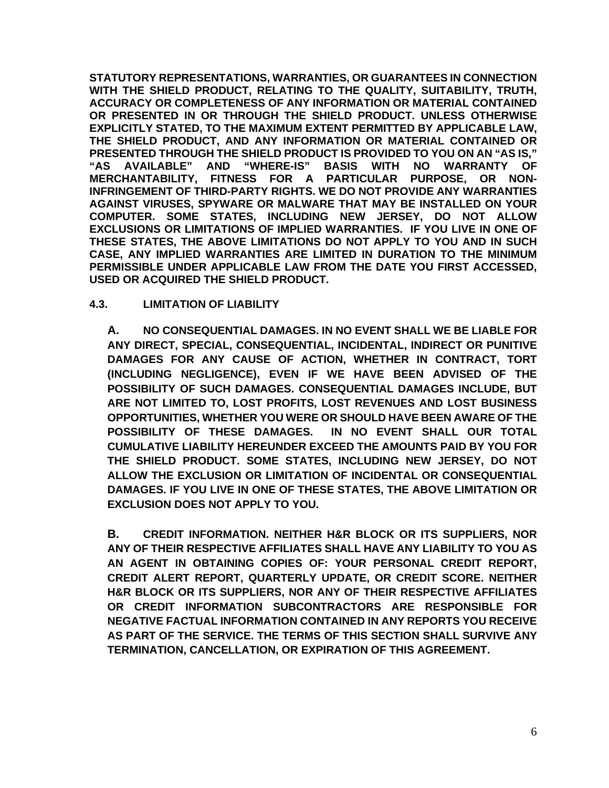**STATUTORY REPRESENTATIONS, WARRANTIES, OR GUARANTEES IN CONNECTION WITH THE SHIELD PRODUCT, RELATING TO THE QUALITY, SUITABILITY, TRUTH, ACCURACY OR COMPLETENESS OF ANY INFORMATION OR MATERIAL CONTAINED OR PRESENTED IN OR THROUGH THE SHIELD PRODUCT. UNLESS OTHERWISE EXPLICITLY STATED, TO THE MAXIMUM EXTENT PERMITTED BY APPLICABLE LAW, THE SHIELD PRODUCT, AND ANY INFORMATION OR MATERIAL CONTAINED OR PRESENTED THROUGH THE SHIELD PRODUCT IS PROVIDED TO YOU ON AN "AS IS," "AS AVAILABLE" AND "WHERE-IS" BASIS WITH NO WARRANTY OF MERCHANTABILITY, FITNESS FOR A PARTICULAR PURPOSE, OR NON-INFRINGEMENT OF THIRD-PARTY RIGHTS. WE DO NOT PROVIDE ANY WARRANTIES AGAINST VIRUSES, SPYWARE OR MALWARE THAT MAY BE INSTALLED ON YOUR COMPUTER. SOME STATES, INCLUDING NEW JERSEY, DO NOT ALLOW EXCLUSIONS OR LIMITATIONS OF IMPLIED WARRANTIES. IF YOU LIVE IN ONE OF THESE STATES, THE ABOVE LIMITATIONS DO NOT APPLY TO YOU AND IN SUCH CASE, ANY IMPLIED WARRANTIES ARE LIMITED IN DURATION TO THE MINIMUM PERMISSIBLE UNDER APPLICABLE LAW FROM THE DATE YOU FIRST ACCESSED, USED OR ACQUIRED THE SHIELD PRODUCT.**

#### **4.3. LIMITATION OF LIABILITY**

**A. NO CONSEQUENTIAL DAMAGES. IN NO EVENT SHALL WE BE LIABLE FOR ANY DIRECT, SPECIAL, CONSEQUENTIAL, INCIDENTAL, INDIRECT OR PUNITIVE DAMAGES FOR ANY CAUSE OF ACTION, WHETHER IN CONTRACT, TORT (INCLUDING NEGLIGENCE), EVEN IF WE HAVE BEEN ADVISED OF THE POSSIBILITY OF SUCH DAMAGES. CONSEQUENTIAL DAMAGES INCLUDE, BUT ARE NOT LIMITED TO, LOST PROFITS, LOST REVENUES AND LOST BUSINESS OPPORTUNITIES, WHETHER YOU WERE OR SHOULD HAVE BEEN AWARE OF THE POSSIBILITY OF THESE DAMAGES. IN NO EVENT SHALL OUR TOTAL CUMULATIVE LIABILITY HEREUNDER EXCEED THE AMOUNTS PAID BY YOU FOR THE SHIELD PRODUCT. SOME STATES, INCLUDING NEW JERSEY, DO NOT ALLOW THE EXCLUSION OR LIMITATION OF INCIDENTAL OR CONSEQUENTIAL DAMAGES. IF YOU LIVE IN ONE OF THESE STATES, THE ABOVE LIMITATION OR EXCLUSION DOES NOT APPLY TO YOU.**

**B. CREDIT INFORMATION. NEITHER H&R BLOCK OR ITS SUPPLIERS, NOR ANY OF THEIR RESPECTIVE AFFILIATES SHALL HAVE ANY LIABILITY TO YOU AS AN AGENT IN OBTAINING COPIES OF: YOUR PERSONAL CREDIT REPORT, CREDIT ALERT REPORT, QUARTERLY UPDATE, OR CREDIT SCORE. NEITHER H&R BLOCK OR ITS SUPPLIERS, NOR ANY OF THEIR RESPECTIVE AFFILIATES OR CREDIT INFORMATION SUBCONTRACTORS ARE RESPONSIBLE FOR NEGATIVE FACTUAL INFORMATION CONTAINED IN ANY REPORTS YOU RECEIVE AS PART OF THE SERVICE. THE TERMS OF THIS SECTION SHALL SURVIVE ANY TERMINATION, CANCELLATION, OR EXPIRATION OF THIS AGREEMENT.**